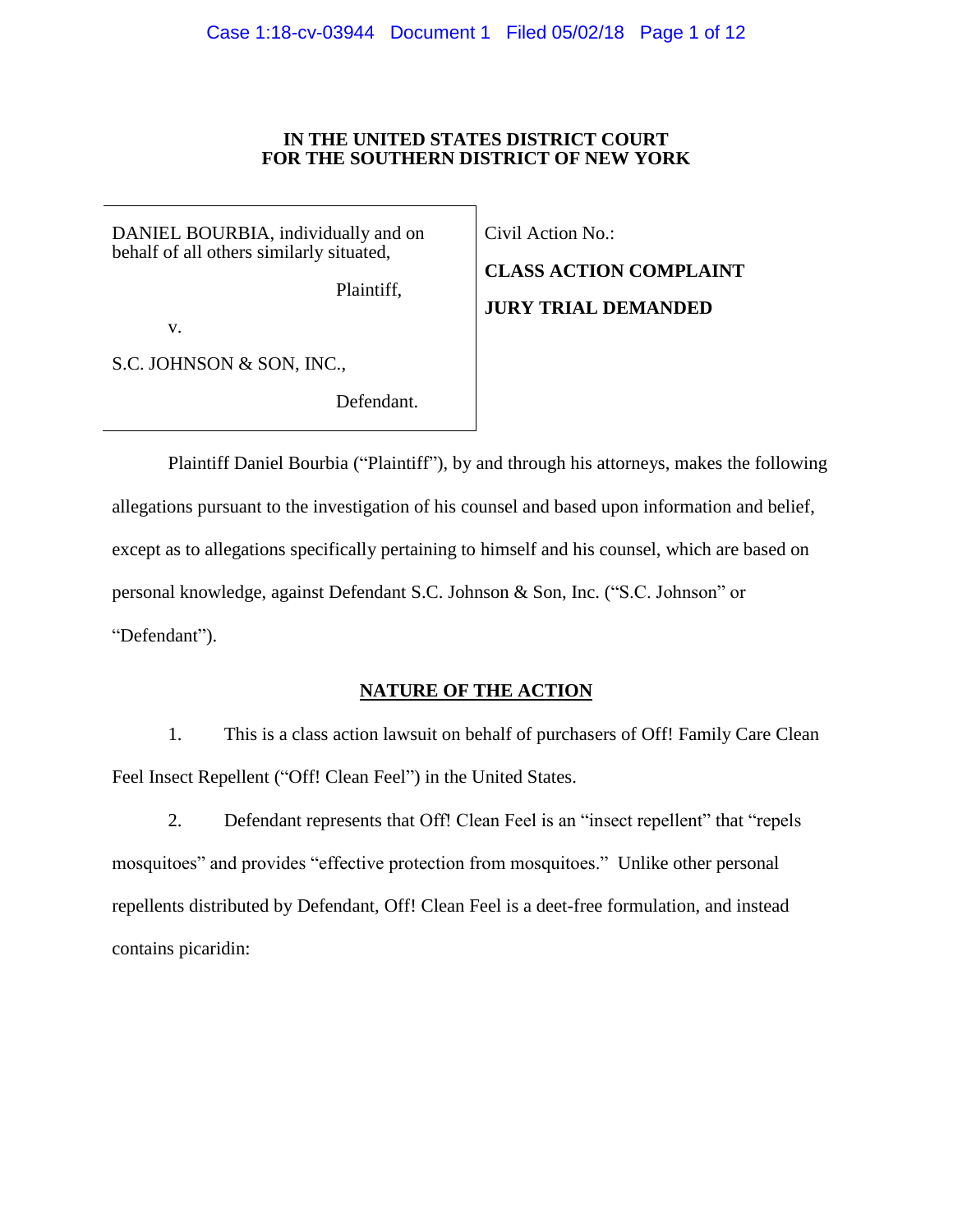### **IN THE UNITED STATES DISTRICT COURT FOR THE SOUTHERN DISTRICT OF NEW YORK**

DANIEL BOURBIA, individually and on behalf of all others similarly situated,

Plaintiff,

Civil Action No.:

**CLASS ACTION COMPLAINT JURY TRIAL DEMANDED**

v.

S.C. JOHNSON & SON, INC.,

Defendant.

Plaintiff Daniel Bourbia ("Plaintiff"), by and through his attorneys, makes the following allegations pursuant to the investigation of his counsel and based upon information and belief, except as to allegations specifically pertaining to himself and his counsel, which are based on personal knowledge, against Defendant S.C. Johnson & Son, Inc. ("S.C. Johnson" or "Defendant").

# **NATURE OF THE ACTION**

1. This is a class action lawsuit on behalf of purchasers of Off! Family Care Clean Feel Insect Repellent ("Off! Clean Feel") in the United States.

2. Defendant represents that Off! Clean Feel is an "insect repellent" that "repels mosquitoes" and provides "effective protection from mosquitoes." Unlike other personal repellents distributed by Defendant, Off! Clean Feel is a deet-free formulation, and instead contains picaridin: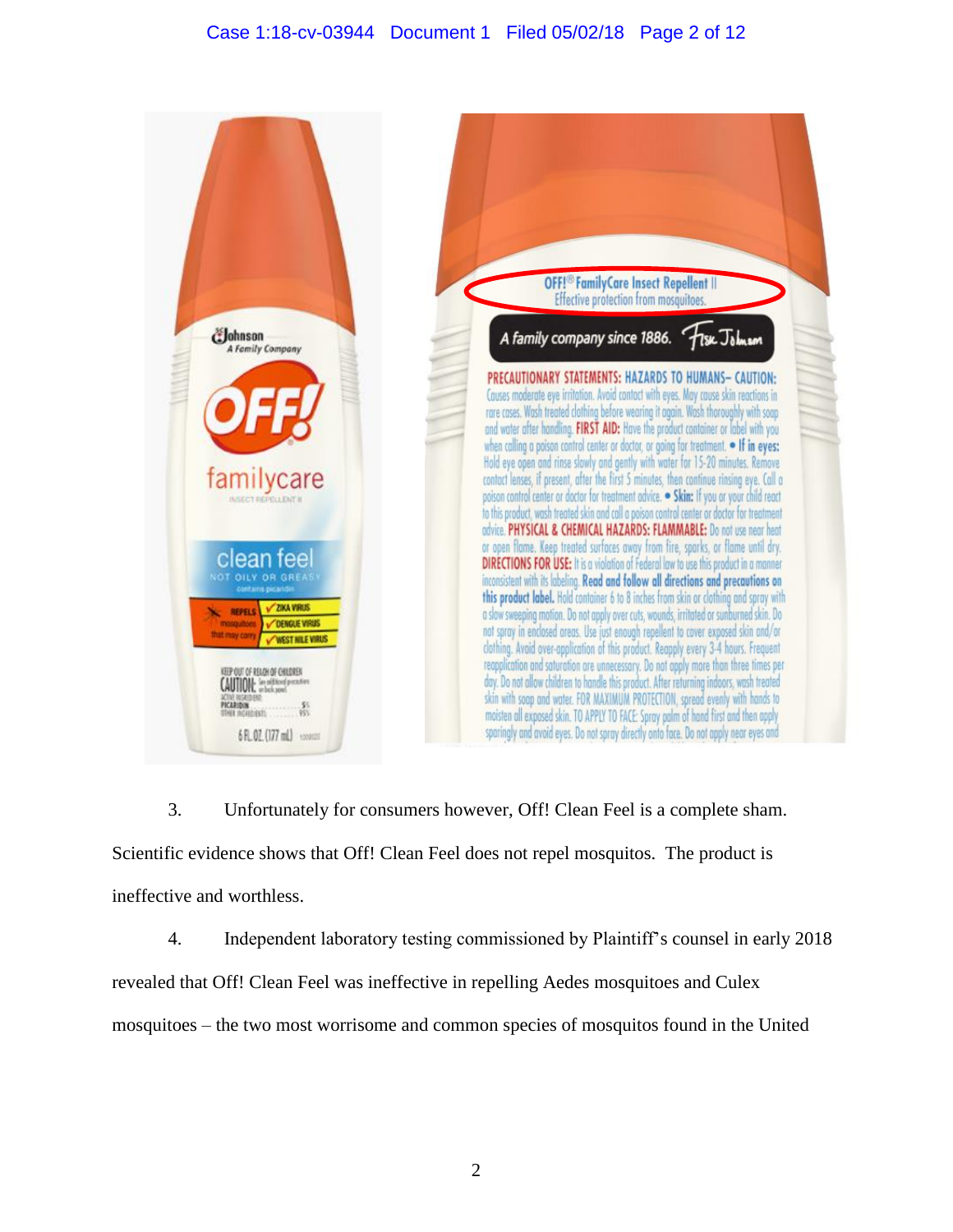

3. Unfortunately for consumers however, Off! Clean Feel is a complete sham. Scientific evidence shows that Off! Clean Feel does not repel mosquitos. The product is ineffective and worthless.

4. Independent laboratory testing commissioned by Plaintiff's counsel in early 2018 revealed that Off! Clean Feel was ineffective in repelling Aedes mosquitoes and Culex mosquitoes – the two most worrisome and common species of mosquitos found in the United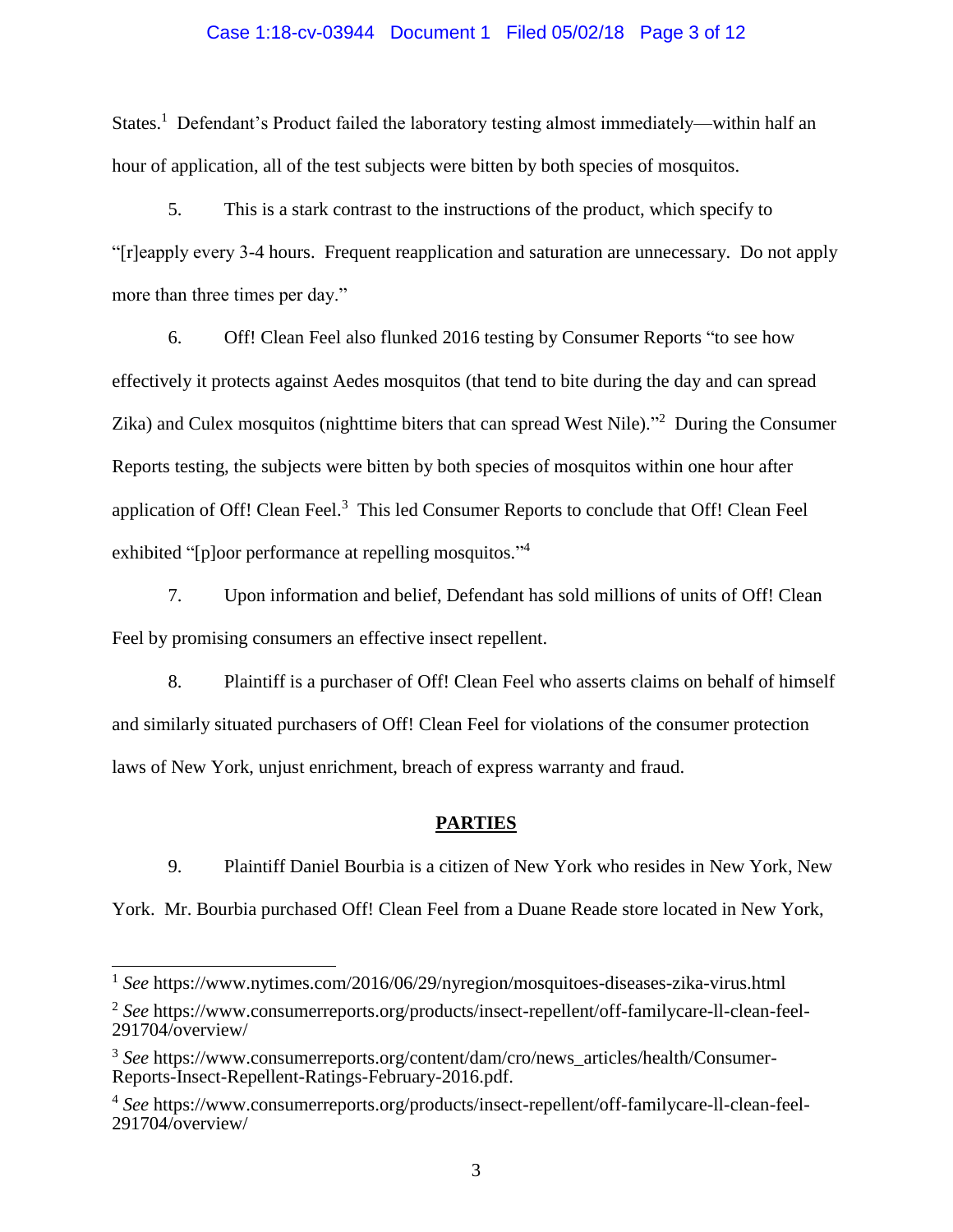### Case 1:18-cv-03944 Document 1 Filed 05/02/18 Page 3 of 12

States.<sup>1</sup> Defendant's Product failed the laboratory testing almost immediately—within half an hour of application, all of the test subjects were bitten by both species of mosquitos.

5. This is a stark contrast to the instructions of the product, which specify to "[r]eapply every 3-4 hours. Frequent reapplication and saturation are unnecessary. Do not apply more than three times per day."

6. Off! Clean Feel also flunked 2016 testing by Consumer Reports "to see how effectively it protects against Aedes mosquitos (that tend to bite during the day and can spread Zika) and Culex mosquitos (nighttime biters that can spread West Nile)."<sup>2</sup> During the Consumer Reports testing, the subjects were bitten by both species of mosquitos within one hour after application of Off! Clean Feel.<sup>3</sup> This led Consumer Reports to conclude that Off! Clean Feel exhibited "[p]oor performance at repelling mosquitos."<sup>4</sup>

7. Upon information and belief, Defendant has sold millions of units of Off! Clean Feel by promising consumers an effective insect repellent.

8. Plaintiff is a purchaser of Off! Clean Feel who asserts claims on behalf of himself and similarly situated purchasers of Off! Clean Feel for violations of the consumer protection laws of New York, unjust enrichment, breach of express warranty and fraud.

### **PARTIES**

9. Plaintiff Daniel Bourbia is a citizen of New York who resides in New York, New

York. Mr. Bourbia purchased Off! Clean Feel from a Duane Reade store located in New York,

 1 *See* https://www.nytimes.com/2016/06/29/nyregion/mosquitoes-diseases-zika-virus.html

<sup>2</sup> *See* https://www.consumerreports.org/products/insect-repellent/off-familycare-ll-clean-feel-291704/overview/

<sup>3</sup> *See* https://www.consumerreports.org/content/dam/cro/news\_articles/health/Consumer-Reports-Insect-Repellent-Ratings-February-2016.pdf.

<sup>4</sup> *See* https://www.consumerreports.org/products/insect-repellent/off-familycare-ll-clean-feel-291704/overview/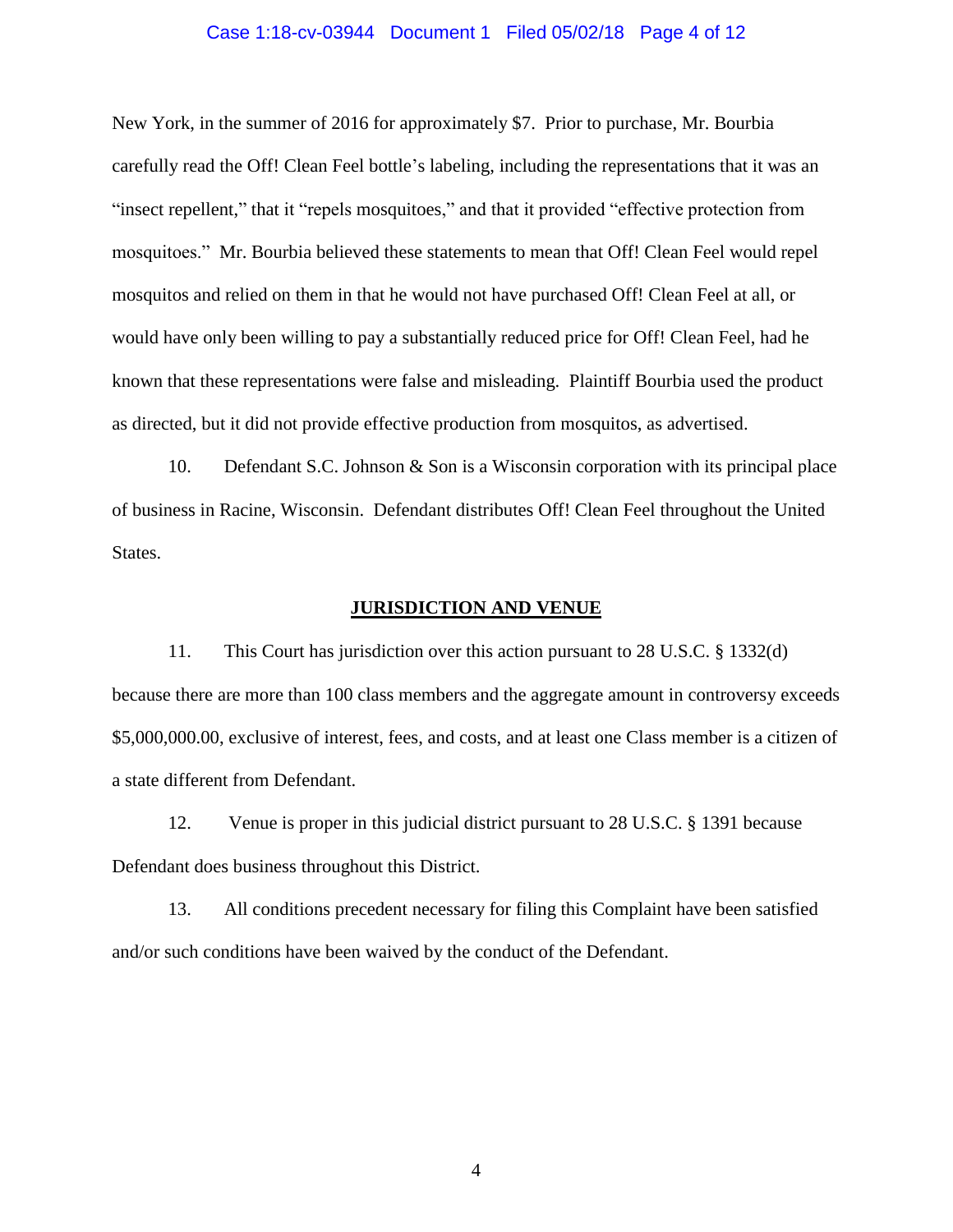### Case 1:18-cv-03944 Document 1 Filed 05/02/18 Page 4 of 12

New York, in the summer of 2016 for approximately \$7. Prior to purchase, Mr. Bourbia carefully read the Off! Clean Feel bottle's labeling, including the representations that it was an "insect repellent," that it "repels mosquitoes," and that it provided "effective protection from mosquitoes." Mr. Bourbia believed these statements to mean that Off! Clean Feel would repel mosquitos and relied on them in that he would not have purchased Off! Clean Feel at all, or would have only been willing to pay a substantially reduced price for Off! Clean Feel, had he known that these representations were false and misleading. Plaintiff Bourbia used the product as directed, but it did not provide effective production from mosquitos, as advertised.

10. Defendant S.C. Johnson & Son is a Wisconsin corporation with its principal place of business in Racine, Wisconsin. Defendant distributes Off! Clean Feel throughout the United States.

### **JURISDICTION AND VENUE**

11. This Court has jurisdiction over this action pursuant to 28 U.S.C. § 1332(d) because there are more than 100 class members and the aggregate amount in controversy exceeds \$5,000,000.00, exclusive of interest, fees, and costs, and at least one Class member is a citizen of a state different from Defendant.

12. Venue is proper in this judicial district pursuant to 28 U.S.C. § 1391 because Defendant does business throughout this District.

13. All conditions precedent necessary for filing this Complaint have been satisfied and/or such conditions have been waived by the conduct of the Defendant.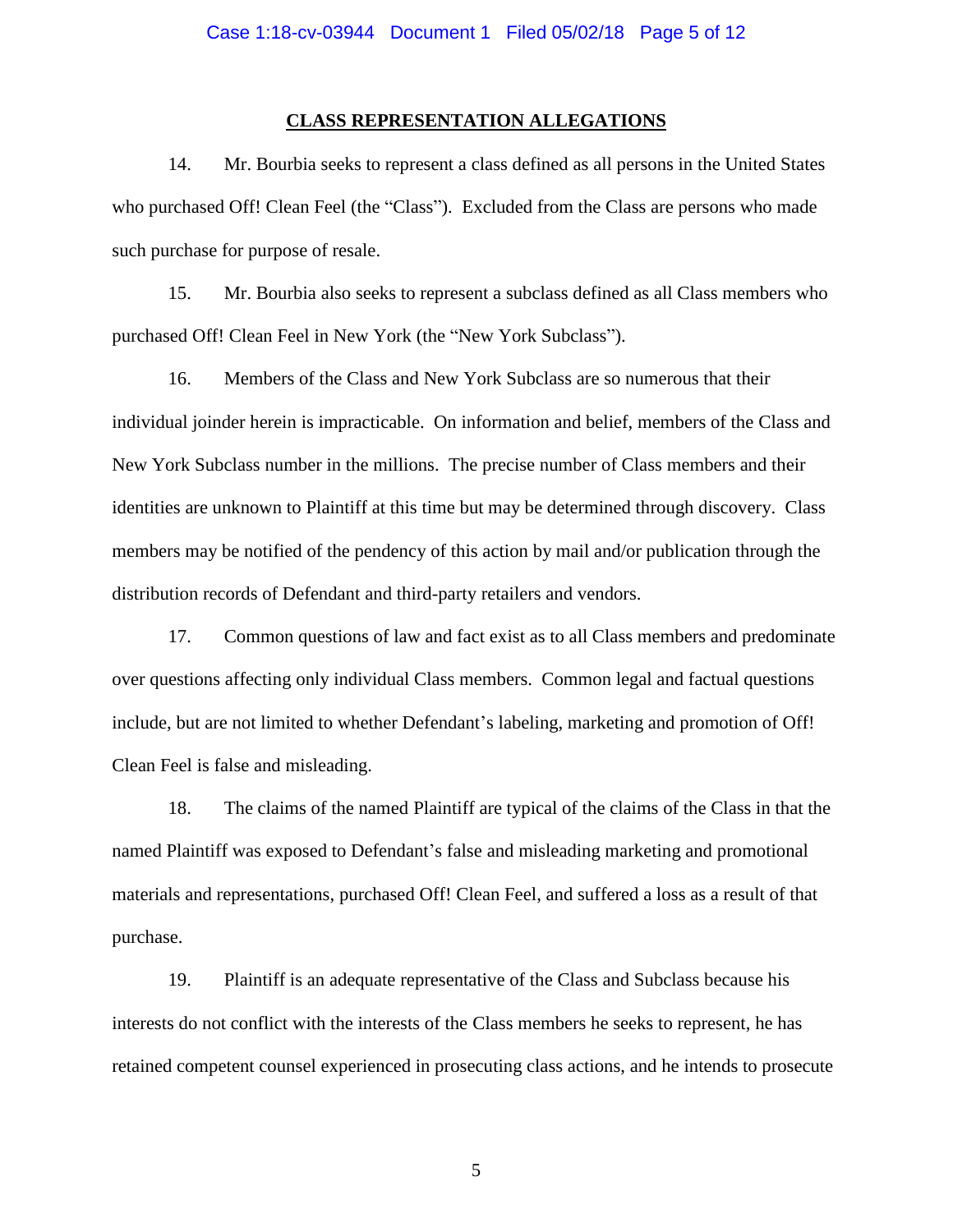### **CLASS REPRESENTATION ALLEGATIONS**

14. Mr. Bourbia seeks to represent a class defined as all persons in the United States who purchased Off! Clean Feel (the "Class"). Excluded from the Class are persons who made such purchase for purpose of resale.

15. Mr. Bourbia also seeks to represent a subclass defined as all Class members who purchased Off! Clean Feel in New York (the "New York Subclass").

16. Members of the Class and New York Subclass are so numerous that their individual joinder herein is impracticable. On information and belief, members of the Class and New York Subclass number in the millions. The precise number of Class members and their identities are unknown to Plaintiff at this time but may be determined through discovery. Class members may be notified of the pendency of this action by mail and/or publication through the distribution records of Defendant and third-party retailers and vendors.

17. Common questions of law and fact exist as to all Class members and predominate over questions affecting only individual Class members. Common legal and factual questions include, but are not limited to whether Defendant's labeling, marketing and promotion of Off! Clean Feel is false and misleading.

18. The claims of the named Plaintiff are typical of the claims of the Class in that the named Plaintiff was exposed to Defendant's false and misleading marketing and promotional materials and representations, purchased Off! Clean Feel, and suffered a loss as a result of that purchase.

19. Plaintiff is an adequate representative of the Class and Subclass because his interests do not conflict with the interests of the Class members he seeks to represent, he has retained competent counsel experienced in prosecuting class actions, and he intends to prosecute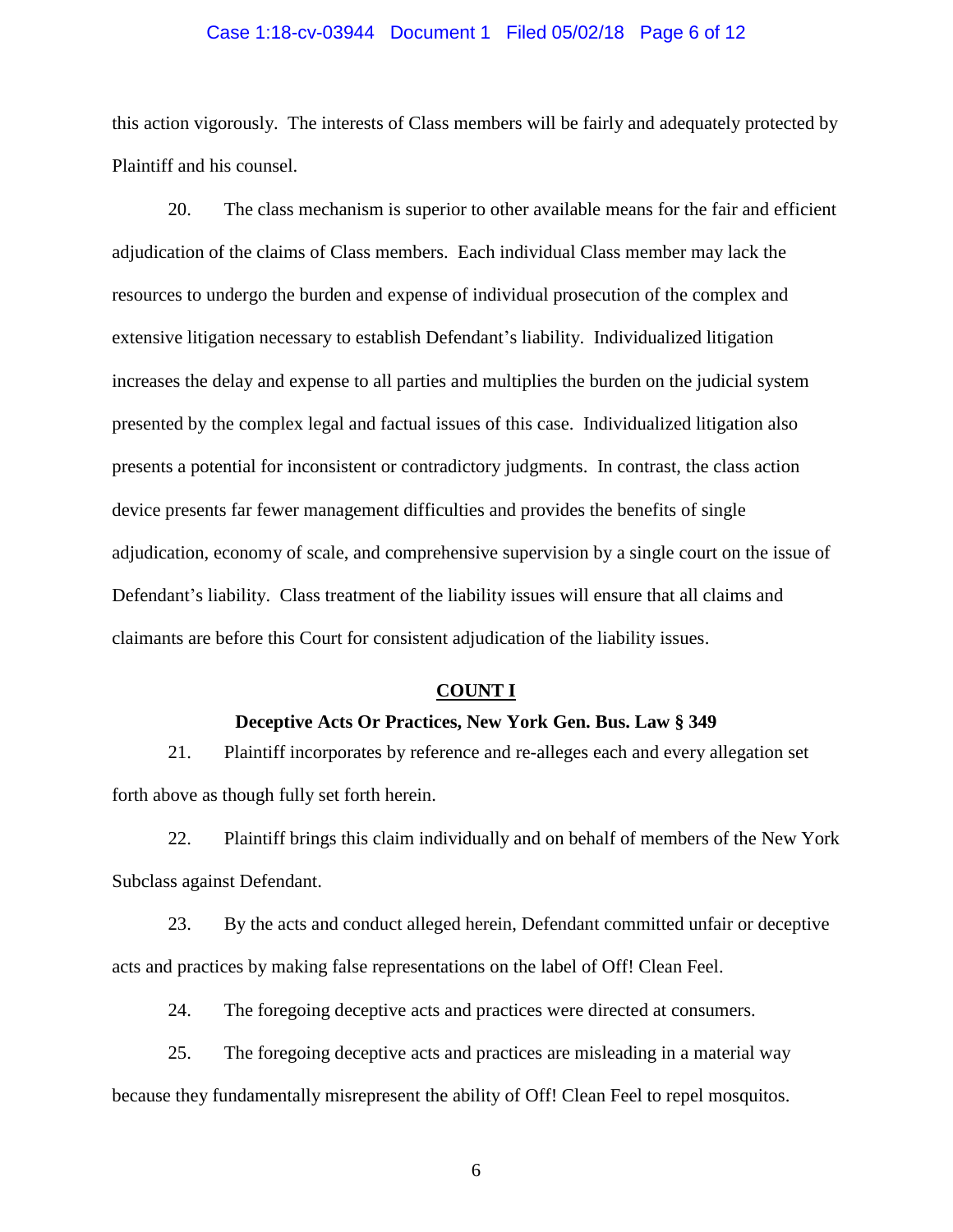### Case 1:18-cv-03944 Document 1 Filed 05/02/18 Page 6 of 12

this action vigorously. The interests of Class members will be fairly and adequately protected by Plaintiff and his counsel.

20. The class mechanism is superior to other available means for the fair and efficient adjudication of the claims of Class members. Each individual Class member may lack the resources to undergo the burden and expense of individual prosecution of the complex and extensive litigation necessary to establish Defendant's liability. Individualized litigation increases the delay and expense to all parties and multiplies the burden on the judicial system presented by the complex legal and factual issues of this case. Individualized litigation also presents a potential for inconsistent or contradictory judgments. In contrast, the class action device presents far fewer management difficulties and provides the benefits of single adjudication, economy of scale, and comprehensive supervision by a single court on the issue of Defendant's liability. Class treatment of the liability issues will ensure that all claims and claimants are before this Court for consistent adjudication of the liability issues.

#### **COUNT I**

### **Deceptive Acts Or Practices, New York Gen. Bus. Law § 349**

21. Plaintiff incorporates by reference and re-alleges each and every allegation set forth above as though fully set forth herein.

22. Plaintiff brings this claim individually and on behalf of members of the New York Subclass against Defendant.

23. By the acts and conduct alleged herein, Defendant committed unfair or deceptive acts and practices by making false representations on the label of Off! Clean Feel.

24. The foregoing deceptive acts and practices were directed at consumers.

25. The foregoing deceptive acts and practices are misleading in a material way because they fundamentally misrepresent the ability of Off! Clean Feel to repel mosquitos.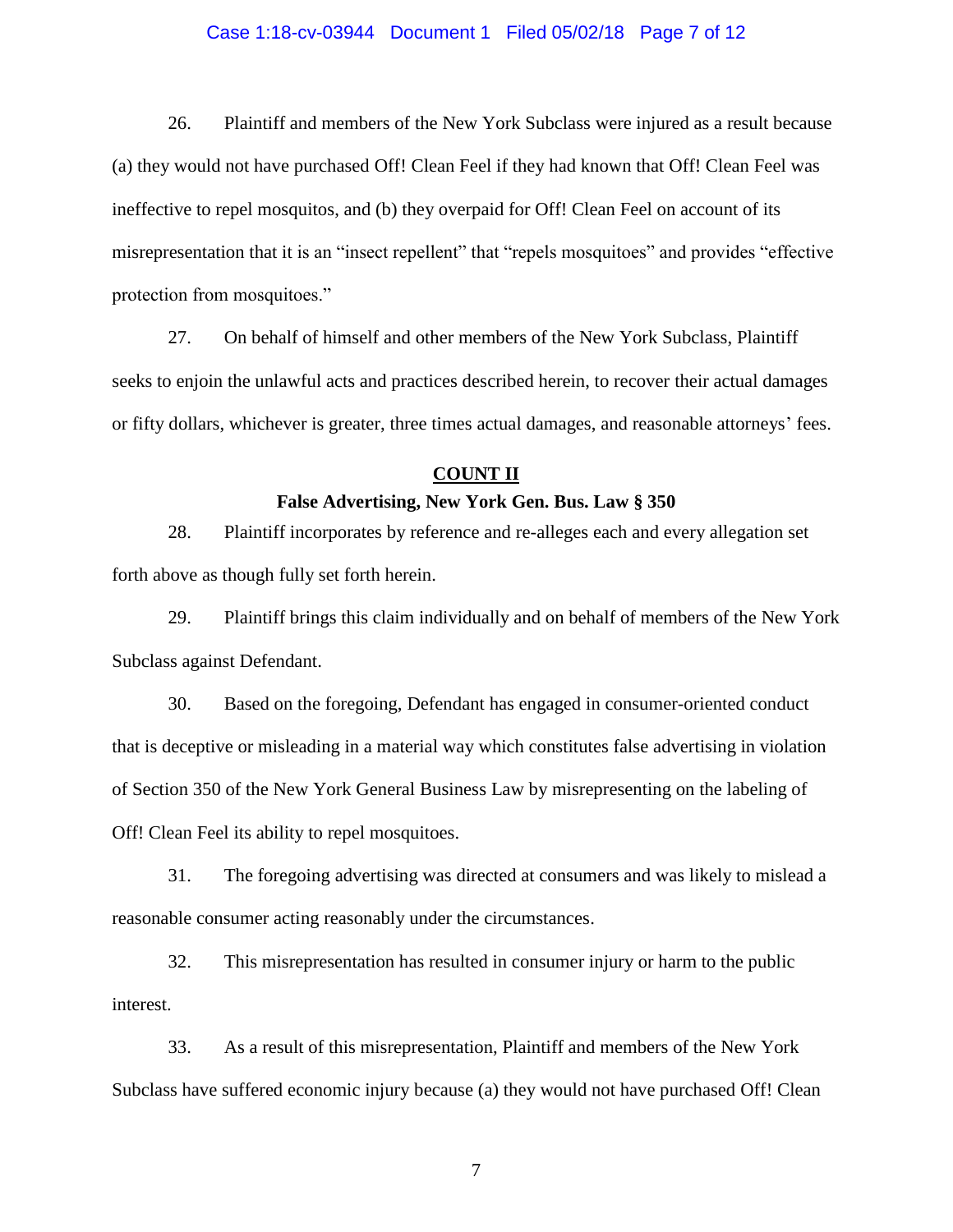### Case 1:18-cv-03944 Document 1 Filed 05/02/18 Page 7 of 12

26. Plaintiff and members of the New York Subclass were injured as a result because (a) they would not have purchased Off! Clean Feel if they had known that Off! Clean Feel was ineffective to repel mosquitos, and (b) they overpaid for Off! Clean Feel on account of its misrepresentation that it is an "insect repellent" that "repels mosquitoes" and provides "effective protection from mosquitoes."

27. On behalf of himself and other members of the New York Subclass, Plaintiff seeks to enjoin the unlawful acts and practices described herein, to recover their actual damages or fifty dollars, whichever is greater, three times actual damages, and reasonable attorneys' fees.

### **COUNT II**

### **False Advertising, New York Gen. Bus. Law § 350**

28. Plaintiff incorporates by reference and re-alleges each and every allegation set forth above as though fully set forth herein.

29. Plaintiff brings this claim individually and on behalf of members of the New York Subclass against Defendant.

30. Based on the foregoing, Defendant has engaged in consumer-oriented conduct that is deceptive or misleading in a material way which constitutes false advertising in violation of Section 350 of the New York General Business Law by misrepresenting on the labeling of Off! Clean Feel its ability to repel mosquitoes.

31. The foregoing advertising was directed at consumers and was likely to mislead a reasonable consumer acting reasonably under the circumstances.

32. This misrepresentation has resulted in consumer injury or harm to the public interest.

33. As a result of this misrepresentation, Plaintiff and members of the New York Subclass have suffered economic injury because (a) they would not have purchased Off! Clean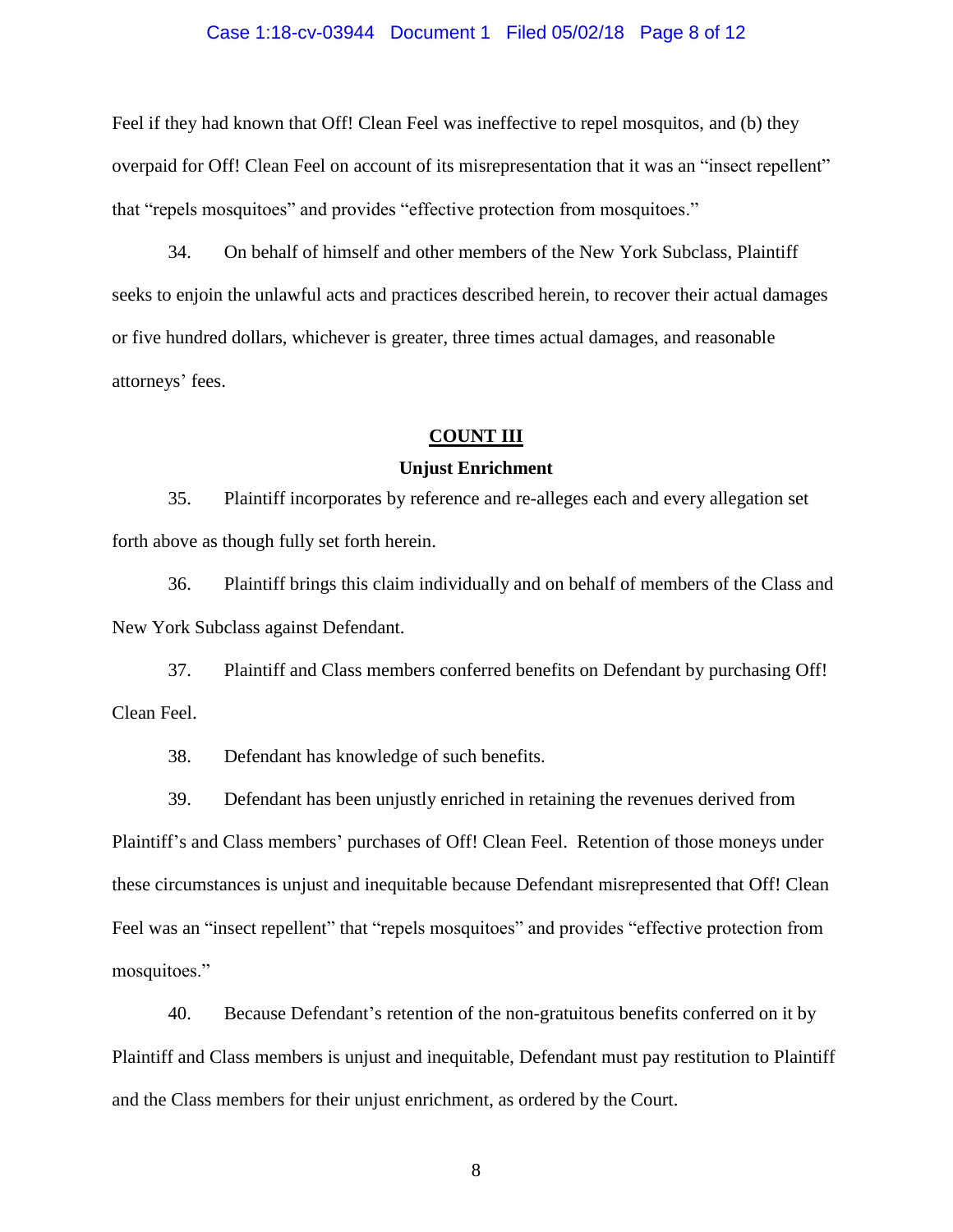### Case 1:18-cv-03944 Document 1 Filed 05/02/18 Page 8 of 12

Feel if they had known that Off! Clean Feel was ineffective to repel mosquitos, and (b) they overpaid for Off! Clean Feel on account of its misrepresentation that it was an "insect repellent" that "repels mosquitoes" and provides "effective protection from mosquitoes."

34. On behalf of himself and other members of the New York Subclass, Plaintiff seeks to enjoin the unlawful acts and practices described herein, to recover their actual damages or five hundred dollars, whichever is greater, three times actual damages, and reasonable attorneys' fees.

# **COUNT III**

### **Unjust Enrichment**

35. Plaintiff incorporates by reference and re-alleges each and every allegation set forth above as though fully set forth herein.

36. Plaintiff brings this claim individually and on behalf of members of the Class and New York Subclass against Defendant.

37. Plaintiff and Class members conferred benefits on Defendant by purchasing Off! Clean Feel.

38. Defendant has knowledge of such benefits.

39. Defendant has been unjustly enriched in retaining the revenues derived from Plaintiff's and Class members' purchases of Off! Clean Feel. Retention of those moneys under these circumstances is unjust and inequitable because Defendant misrepresented that Off! Clean Feel was an "insect repellent" that "repels mosquitoes" and provides "effective protection from mosquitoes."

40. Because Defendant's retention of the non-gratuitous benefits conferred on it by Plaintiff and Class members is unjust and inequitable, Defendant must pay restitution to Plaintiff and the Class members for their unjust enrichment, as ordered by the Court.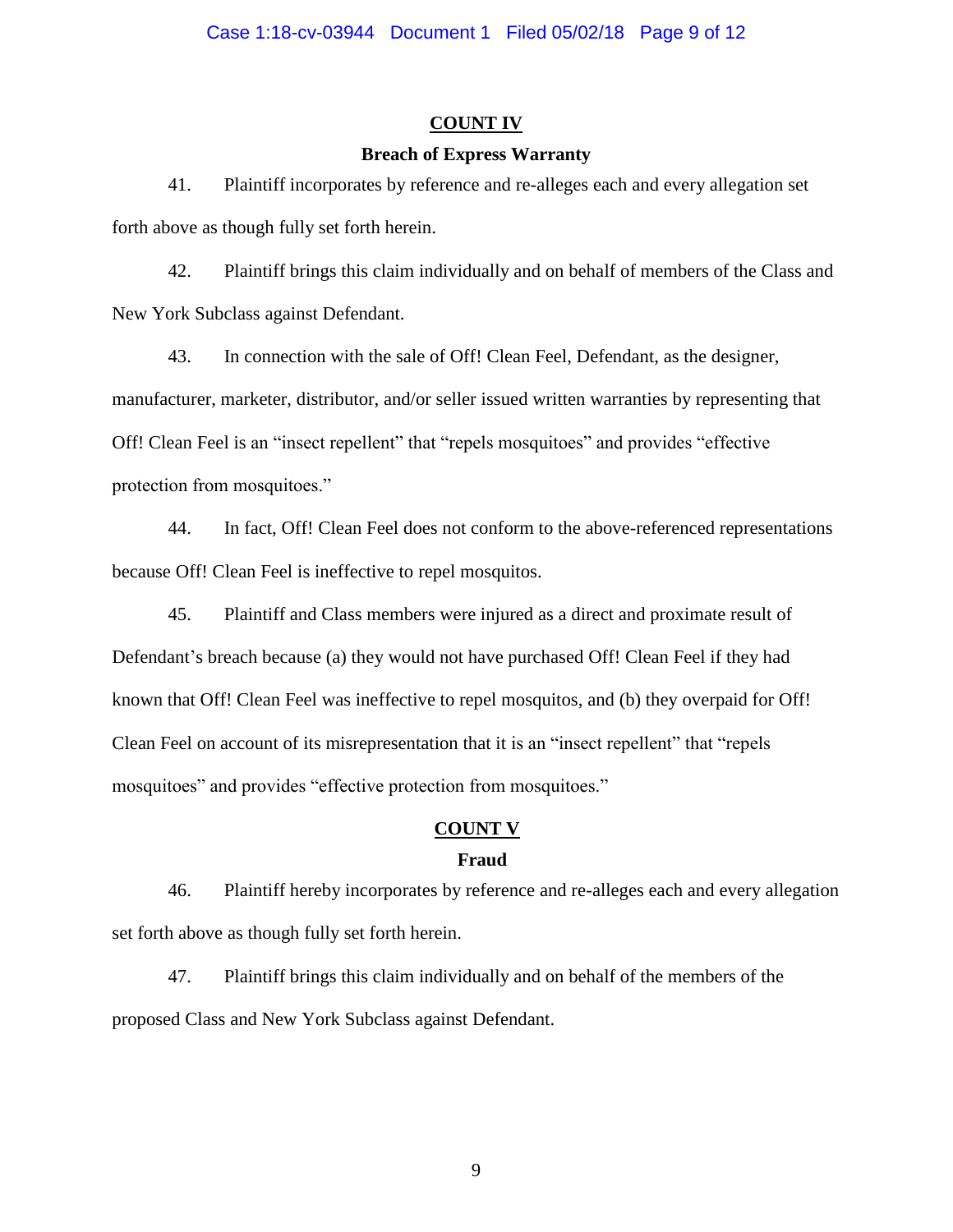# **COUNT IV**

# **Breach of Express Warranty**

41. Plaintiff incorporates by reference and re-alleges each and every allegation set forth above as though fully set forth herein.

42. Plaintiff brings this claim individually and on behalf of members of the Class and New York Subclass against Defendant.

43. In connection with the sale of Off! Clean Feel, Defendant, as the designer, manufacturer, marketer, distributor, and/or seller issued written warranties by representing that Off! Clean Feel is an "insect repellent" that "repels mosquitoes" and provides "effective protection from mosquitoes."

44. In fact, Off! Clean Feel does not conform to the above-referenced representations because Off! Clean Feel is ineffective to repel mosquitos.

45. Plaintiff and Class members were injured as a direct and proximate result of Defendant's breach because (a) they would not have purchased Off! Clean Feel if they had known that Off! Clean Feel was ineffective to repel mosquitos, and (b) they overpaid for Off! Clean Feel on account of its misrepresentation that it is an "insect repellent" that "repels mosquitoes" and provides "effective protection from mosquitoes."

# **COUNT V**

# **Fraud**

46. Plaintiff hereby incorporates by reference and re-alleges each and every allegation set forth above as though fully set forth herein.

47. Plaintiff brings this claim individually and on behalf of the members of the proposed Class and New York Subclass against Defendant.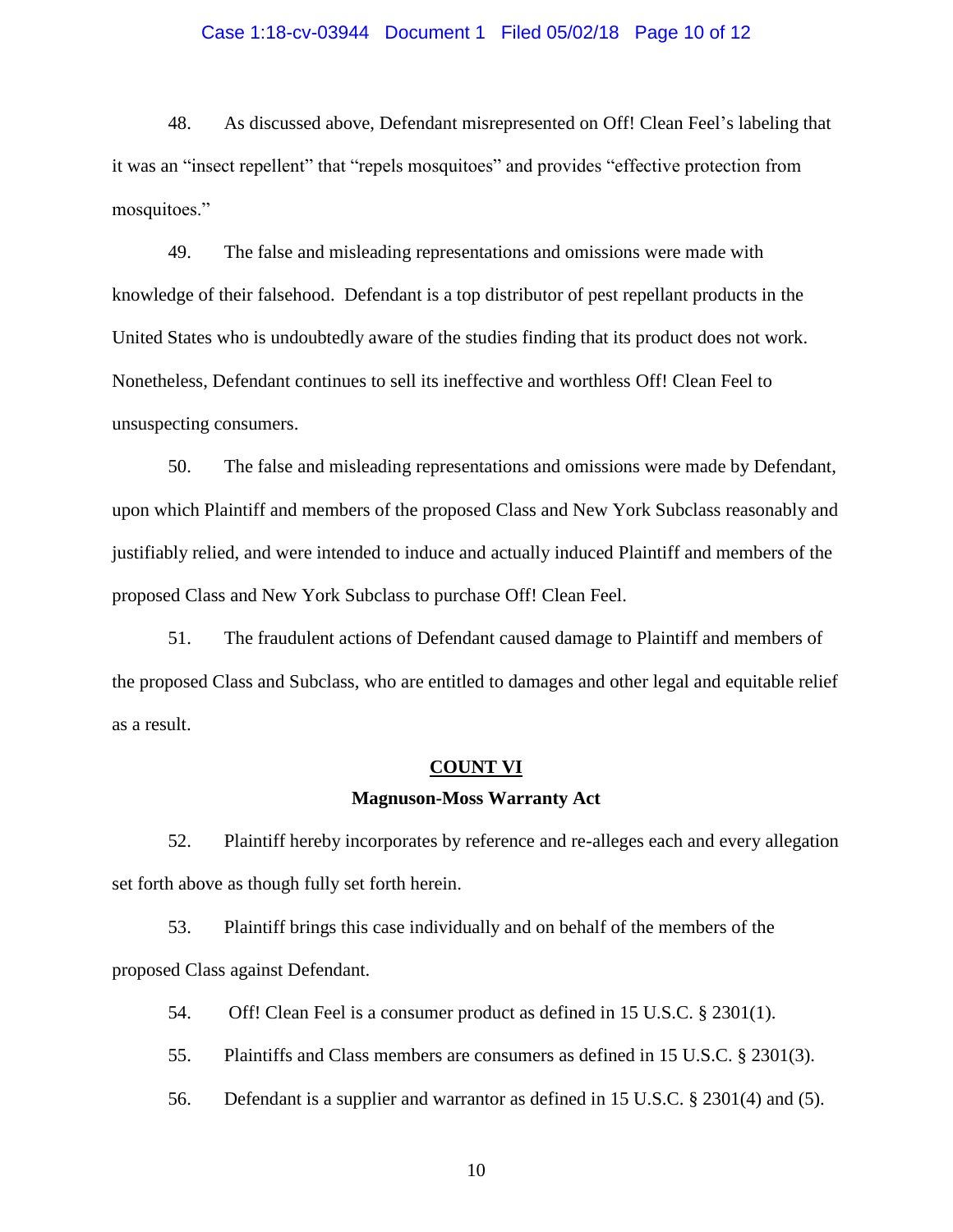### Case 1:18-cv-03944 Document 1 Filed 05/02/18 Page 10 of 12

48. As discussed above, Defendant misrepresented on Off! Clean Feel's labeling that it was an "insect repellent" that "repels mosquitoes" and provides "effective protection from mosquitoes."

49. The false and misleading representations and omissions were made with knowledge of their falsehood. Defendant is a top distributor of pest repellant products in the United States who is undoubtedly aware of the studies finding that its product does not work. Nonetheless, Defendant continues to sell its ineffective and worthless Off! Clean Feel to unsuspecting consumers.

50. The false and misleading representations and omissions were made by Defendant, upon which Plaintiff and members of the proposed Class and New York Subclass reasonably and justifiably relied, and were intended to induce and actually induced Plaintiff and members of the proposed Class and New York Subclass to purchase Off! Clean Feel.

51. The fraudulent actions of Defendant caused damage to Plaintiff and members of the proposed Class and Subclass, who are entitled to damages and other legal and equitable relief as a result.

#### **COUNT VI**

### **Magnuson-Moss Warranty Act**

52. Plaintiff hereby incorporates by reference and re-alleges each and every allegation set forth above as though fully set forth herein.

53. Plaintiff brings this case individually and on behalf of the members of the proposed Class against Defendant.

54. Off! Clean Feel is a consumer product as defined in 15 U.S.C. § 2301(1).

55. Plaintiffs and Class members are consumers as defined in 15 U.S.C. § 2301(3).

56. Defendant is a supplier and warrantor as defined in 15 U.S.C. § 2301(4) and (5).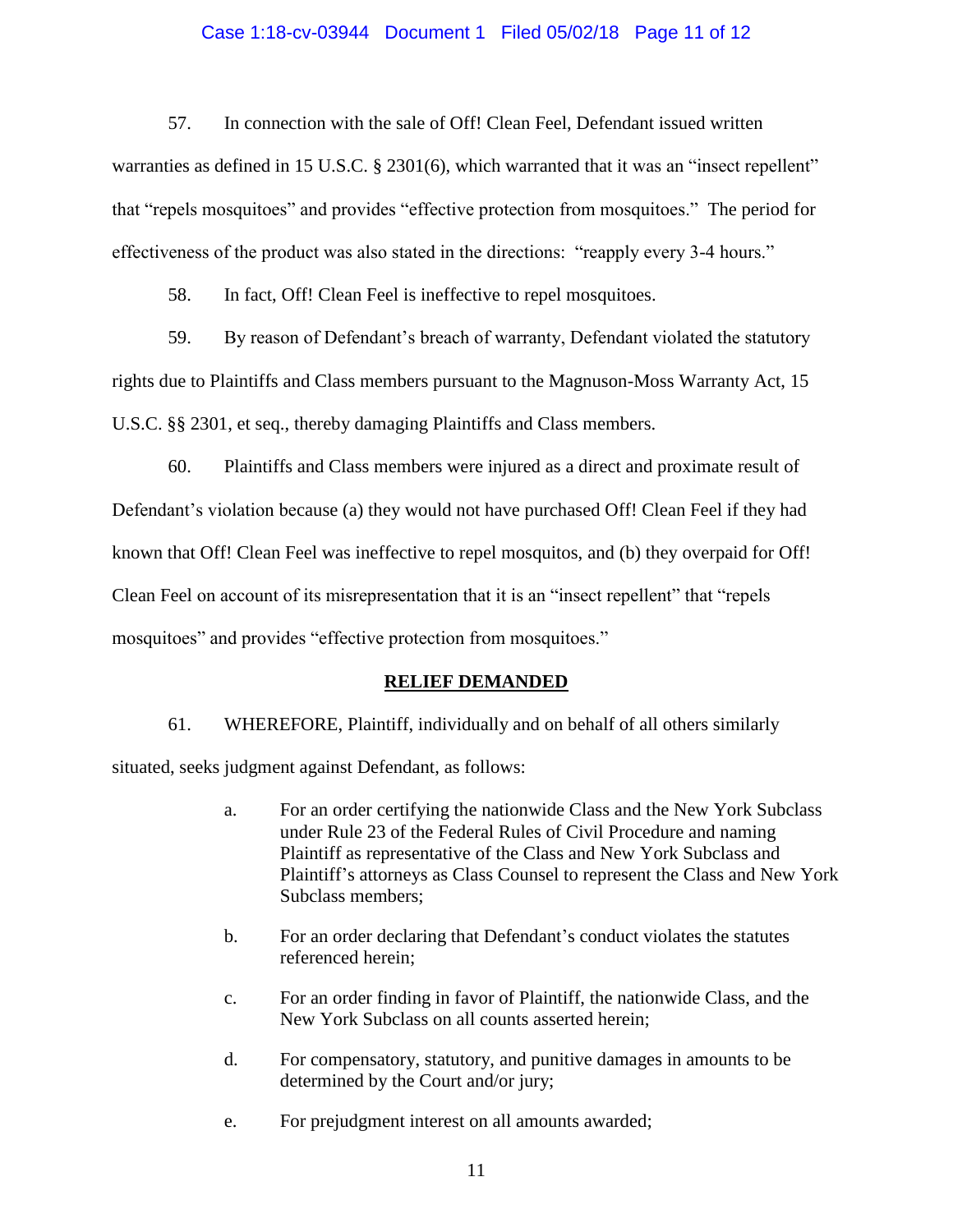### Case 1:18-cv-03944 Document 1 Filed 05/02/18 Page 11 of 12

57. In connection with the sale of Off! Clean Feel, Defendant issued written

warranties as defined in 15 U.S.C. § 2301(6), which warranted that it was an "insect repellent" that "repels mosquitoes" and provides "effective protection from mosquitoes." The period for effectiveness of the product was also stated in the directions: "reapply every 3-4 hours."

58. In fact, Off! Clean Feel is ineffective to repel mosquitoes.

59. By reason of Defendant's breach of warranty, Defendant violated the statutory rights due to Plaintiffs and Class members pursuant to the Magnuson-Moss Warranty Act, 15 U.S.C. §§ 2301, et seq., thereby damaging Plaintiffs and Class members.

60. Plaintiffs and Class members were injured as a direct and proximate result of Defendant's violation because (a) they would not have purchased Off! Clean Feel if they had known that Off! Clean Feel was ineffective to repel mosquitos, and (b) they overpaid for Off! Clean Feel on account of its misrepresentation that it is an "insect repellent" that "repels mosquitoes" and provides "effective protection from mosquitoes."

### **RELIEF DEMANDED**

61. WHEREFORE, Plaintiff, individually and on behalf of all others similarly situated, seeks judgment against Defendant, as follows:

- a. For an order certifying the nationwide Class and the New York Subclass under Rule 23 of the Federal Rules of Civil Procedure and naming Plaintiff as representative of the Class and New York Subclass and Plaintiff's attorneys as Class Counsel to represent the Class and New York Subclass members;
- b. For an order declaring that Defendant's conduct violates the statutes referenced herein;
- c. For an order finding in favor of Plaintiff, the nationwide Class, and the New York Subclass on all counts asserted herein;
- d. For compensatory, statutory, and punitive damages in amounts to be determined by the Court and/or jury;
- e. For prejudgment interest on all amounts awarded;